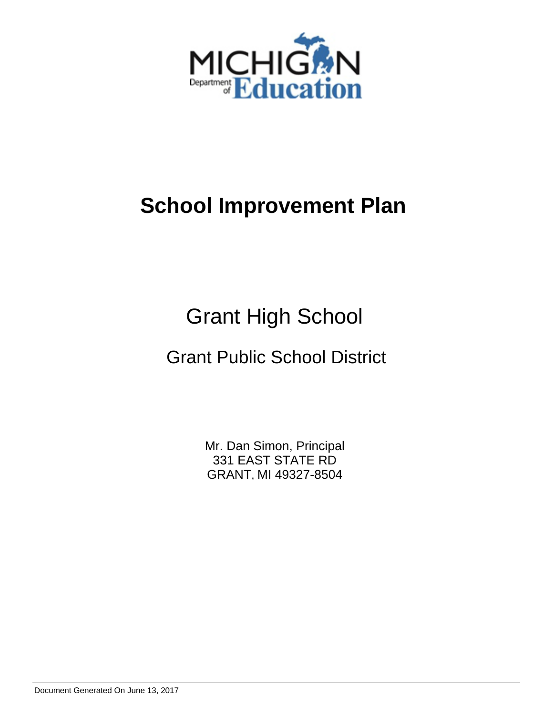

# Grant High School

# Grant Public School District

Mr. Dan Simon, Principal 331 EAST STATE RD GRANT, MI 49327-8504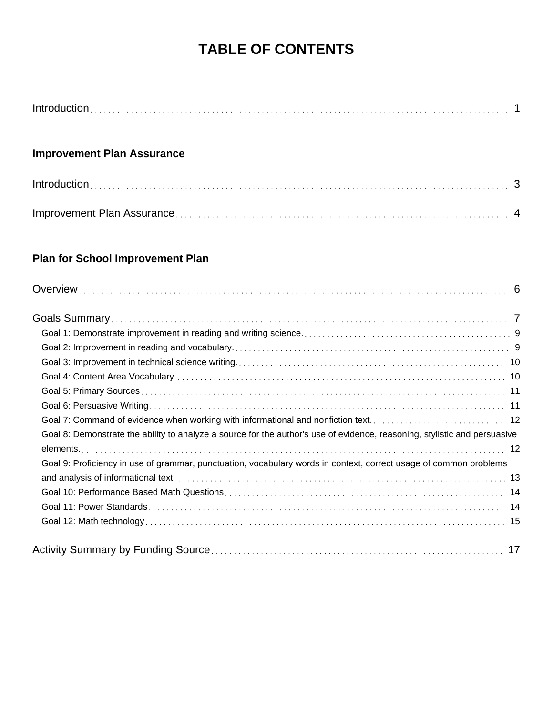# **TABLE OF CONTENTS**

### **Improvement Plan Assurance**

### **Plan for School Improvement Plan**

| Goal 7: Command of evidence when working with informational and nonfiction text 12                                        |  |
|---------------------------------------------------------------------------------------------------------------------------|--|
| Goal 8: Demonstrate the ability to analyze a source for the author's use of evidence, reasoning, stylistic and persuasive |  |
|                                                                                                                           |  |
| Goal 9: Proficiency in use of grammar, punctuation, vocabulary words in context, correct usage of common problems         |  |
|                                                                                                                           |  |
|                                                                                                                           |  |
|                                                                                                                           |  |
|                                                                                                                           |  |
|                                                                                                                           |  |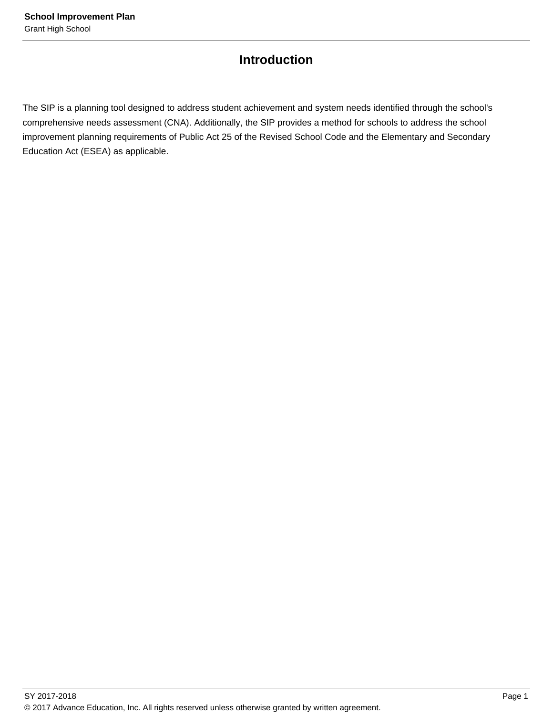### **Introduction**

The SIP is a planning tool designed to address student achievement and system needs identified through the school's comprehensive needs assessment (CNA). Additionally, the SIP provides a method for schools to address the school improvement planning requirements of Public Act 25 of the Revised School Code and the Elementary and Secondary Education Act (ESEA) as applicable.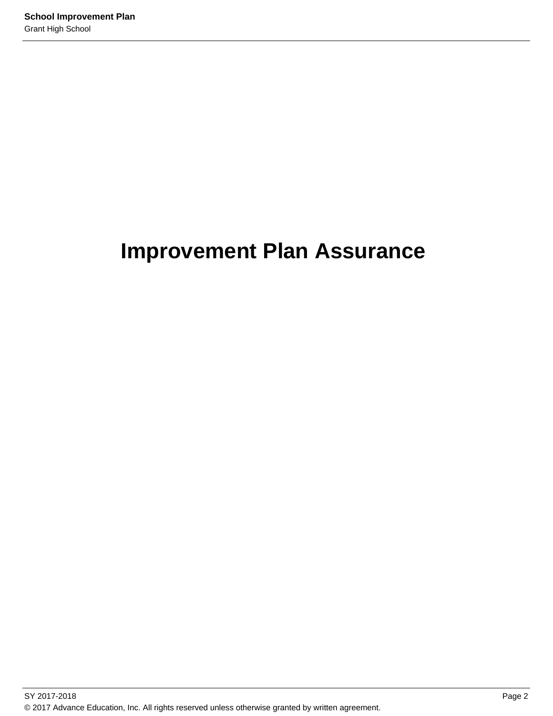# **Improvement Plan Assurance**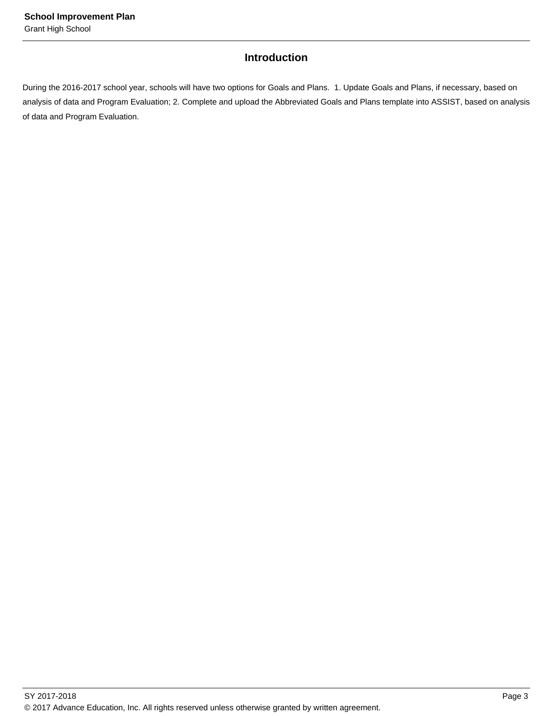### **Introduction**

During the 2016-2017 school year, schools will have two options for Goals and Plans. 1. Update Goals and Plans, if necessary, based on analysis of data and Program Evaluation; 2. Complete and upload the Abbreviated Goals and Plans template into ASSIST, based on analysis of data and Program Evaluation.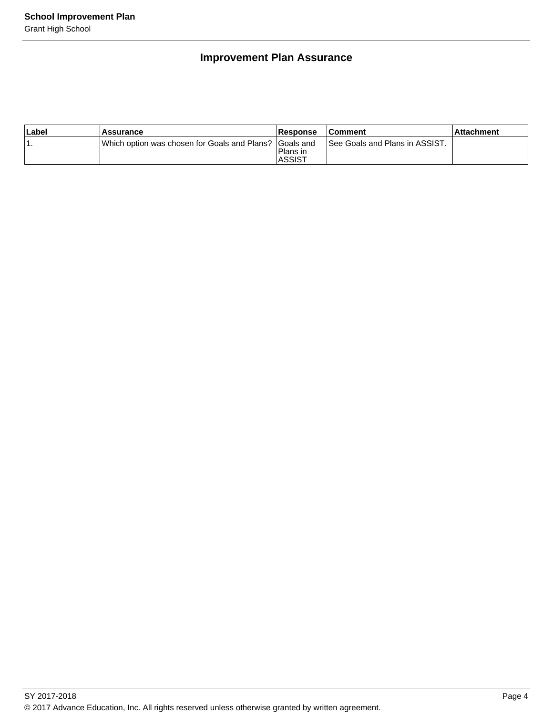### **Improvement Plan Assurance**

| Label | Assurance                                                | <b>Response</b>            | <b>Comment</b>                 | ⊺Attachment |
|-------|----------------------------------------------------------|----------------------------|--------------------------------|-------------|
| . .   | IWhich option was chosen for Goals and Plans? IGoals and | Plans in<br><b>IASSIST</b> | See Goals and Plans in ASSIST. |             |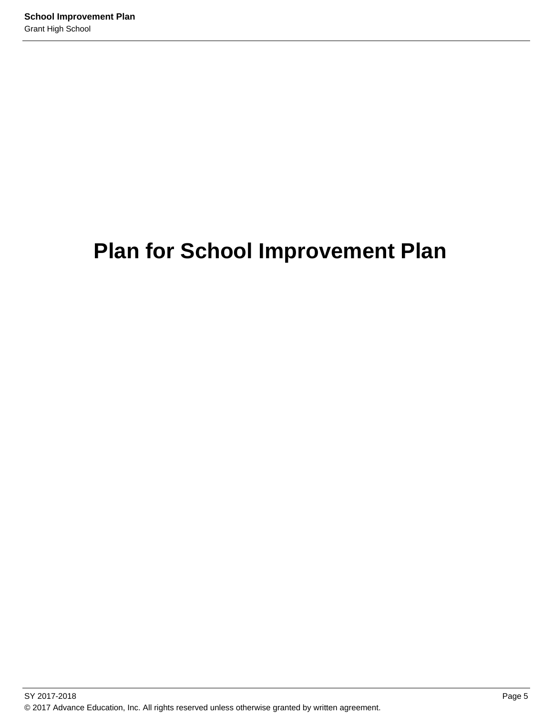# **Plan for School Improvement Plan**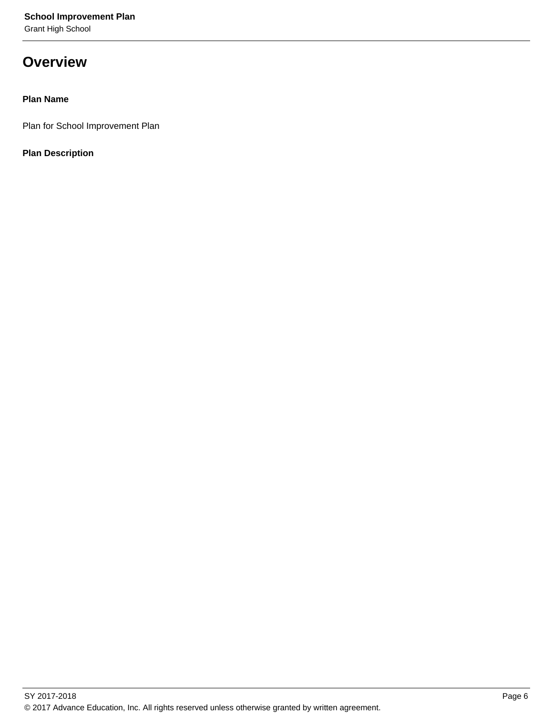## **Overview**

### **Plan Name**

Plan for School Improvement Plan

### **Plan Description**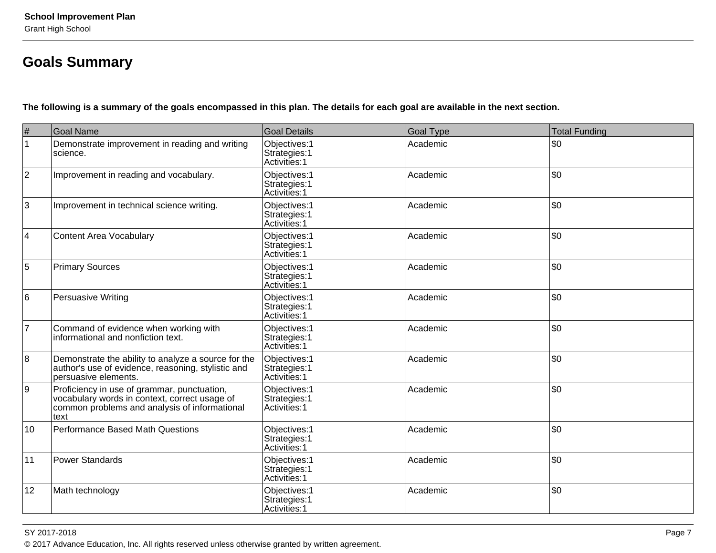## **Goals Summary**

**The following is a summary of the goals encompassed in this plan. The details for each goal are available in the next section.**

| $\#$           | <b>Goal Name</b>                                                                                                                                      | <b>Goal Details</b>                             | <b>Goal Type</b> | <b>Total Funding</b> |
|----------------|-------------------------------------------------------------------------------------------------------------------------------------------------------|-------------------------------------------------|------------------|----------------------|
| $\mathbf{1}$   | Demonstrate improvement in reading and writing<br>science.                                                                                            | Objectives: 1<br>Strategies: 1<br>Activities: 1 | Academic         | \$0                  |
| $\overline{2}$ | Improvement in reading and vocabulary.                                                                                                                | Objectives: 1<br>Strategies: 1<br>Activities: 1 | Academic         | \$0                  |
| 3              | Improvement in technical science writing.                                                                                                             | Objectives: 1<br>Strategies: 1<br>Activities: 1 | Academic         | \$0                  |
| $\overline{4}$ | <b>Content Area Vocabulary</b>                                                                                                                        | Objectives: 1<br>Strategies: 1<br>Activities: 1 | Academic         | \$0                  |
| 5              | <b>Primary Sources</b>                                                                                                                                | Objectives: 1<br>Strategies: 1<br>Activities: 1 | Academic         | \$0                  |
| 6              | Persuasive Writing                                                                                                                                    | Objectives: 1<br>Strategies: 1<br>Activities: 1 | Academic         | \$0                  |
| $\overline{7}$ | Command of evidence when working with<br>informational and nonfiction text.                                                                           | Objectives: 1<br>Strategies: 1<br>Activities: 1 | Academic         | \$0                  |
| 8              | Demonstrate the ability to analyze a source for the<br>author's use of evidence, reasoning, stylistic and<br>persuasive elements.                     | Objectives: 1<br>Strategies: 1<br>Activities: 1 | Academic         | \$0                  |
| 9              | Proficiency in use of grammar, punctuation,<br>vocabulary words in context, correct usage of<br>common problems and analysis of informational<br>text | Objectives: 1<br>Strategies: 1<br>Activities: 1 | Academic         | \$0                  |
| 10             | <b>Performance Based Math Questions</b>                                                                                                               | Objectives: 1<br>Strategies: 1<br>Activities: 1 | Academic         | \$0                  |
| 11             | <b>Power Standards</b>                                                                                                                                | Objectives: 1<br>Strategies: 1<br>Activities: 1 | Academic         | l\$0                 |
| 12             | Math technology                                                                                                                                       | Objectives: 1<br>Strategies: 1<br>Activities: 1 | Academic         | \$0                  |

#### SY 2017-2018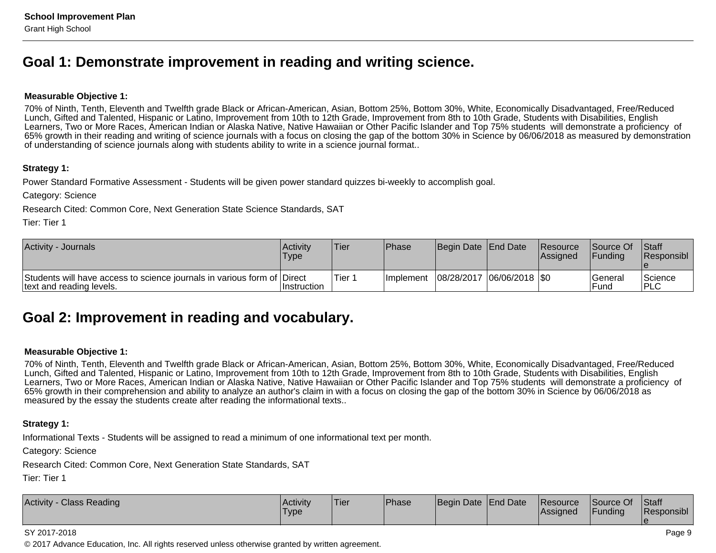### **Goal 1: Demonstrate improvement in reading and writing science.**

#### **Measurable Objective 1:**

70% of Ninth, Tenth, Eleventh and Twelfth grade Black or African-American, Asian, Bottom 25%, Bottom 30%, White, Economically Disadvantaged, Free/ReducedLunch, Gifted and Talented, Hispanic or Latino, Improvement from 10th to 12th Grade, Improvement from 8th to 10th Grade, Students with Disabilities, English Learners, Two or More Races, American Indian or Alaska Native, Native Hawaiian or Other Pacific Islander and Top 75% students will demonstrate a proficiency of 65% growth in their reading and writing of science journals with a focus on closing the gap of the bottom 30% in Science by 06/06/2018 as measured by demonstrationof understanding of science journals along with students ability to write in a science journal format..

#### **Strategy 1:**

Power Standard Formative Assessment - Students will be given power standard quizzes bi-weekly to accomplish goal.

Category: Science

Research Cited: Common Core, Next Generation State Science Standards, SAT

Tier: Tier 1

| <b>Activity - Journals</b>                                                                          | ∣Activit∨<br>Type | Tier   | <b>Phase</b>      | Begin Date End Date         | <b>Resource</b><br> Assigned | <b>Source Of</b><br><b>IFundina</b> | <b>Staff</b><br><b>Responsibl</b> |
|-----------------------------------------------------------------------------------------------------|-------------------|--------|-------------------|-----------------------------|------------------------------|-------------------------------------|-----------------------------------|
| Students will have access to science journals in various form of Direct<br>text and reading levels. | ∣Instruction      | Tier 1 | <b>Ilmplement</b> | 08/28/2017  06/06/2018  \$0 |                              | <b>General</b><br>Fund              | 'Science<br><b>PLC</b>            |

### **Goal 2: Improvement in reading and vocabulary.**

#### **Measurable Objective 1:**

70% of Ninth, Tenth, Eleventh and Twelfth grade Black or African-American, Asian, Bottom 25%, Bottom 30%, White, Economically Disadvantaged, Free/ReducedLunch, Gifted and Talented, Hispanic or Latino, Improvement from 10th to 12th Grade, Improvement from 8th to 10th Grade, Students with Disabilities, English Learners, Two or More Races, American Indian or Alaska Native, Native Hawaiian or Other Pacific Islander and Top 75% students will demonstrate a proficiency of65% growth in their comprehension and ability to analyze an author's claim in with a focus on closing the gap of the bottom 30% in Science by 06/06/2018 asmeasured by the essay the students create after reading the informational texts..

#### **Strategy 1:**

Informational Texts - Students will be assigned to read a minimum of one informational text per month.

Category: Science

Research Cited: Common Core, Next Generation State Standards, SAT

Tier: Tier 1

| <b>Activity - Class Reading</b> | <b>Activity</b><br>Type | 'Tier | <b>IPhase</b> | Begin Date End Date |  | Resource<br> Assigned | Source Of<br>Funding | <b>Staff</b><br>Responsibl |
|---------------------------------|-------------------------|-------|---------------|---------------------|--|-----------------------|----------------------|----------------------------|
|---------------------------------|-------------------------|-------|---------------|---------------------|--|-----------------------|----------------------|----------------------------|

#### SY 2017-2018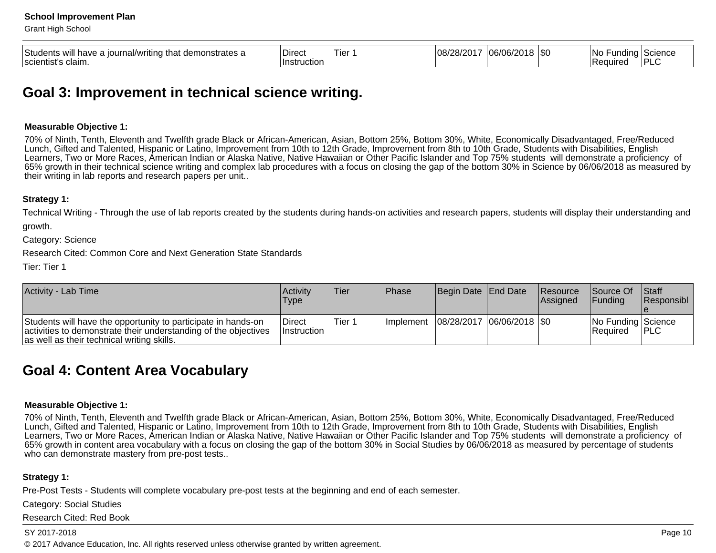| Students<br>strates a<br>uave i<br>'ıtın<br>∩al/wr<br>∩urr<br>nn<br>-tna<br>WIII<br><br>scientist's<br>claim. | ่<br>∣Dırect<br>uction<br>∖Instr | $\sim$<br>IG | 10R<br>O8.<br>-- | ٦∩۰<br>un/<br>-<br>. . | $\cdot$ $\sim$<br>ا س | lNc<br>. .<br>aurec: | science |
|---------------------------------------------------------------------------------------------------------------|----------------------------------|--------------|------------------|------------------------|-----------------------|----------------------|---------|
|                                                                                                               |                                  |              |                  |                        |                       |                      |         |

### **Goal 3: Improvement in technical science writing.**

#### **Measurable Objective 1:**

70% of Ninth, Tenth, Eleventh and Twelfth grade Black or African-American, Asian, Bottom 25%, Bottom 30%, White, Economically Disadvantaged, Free/ReducedLunch, Gifted and Talented, Hispanic or Latino, Improvement from 10th to 12th Grade, Improvement from 8th to 10th Grade, Students with Disabilities, English Learners, Two or More Races, American Indian or Alaska Native, Native Hawaiian or Other Pacific Islander and Top 75% students will demonstrate a proficiency of 65% growth in their technical science writing and complex lab procedures with a focus on closing the gap of the bottom 30% in Science by 06/06/2018 as measured bytheir writing in lab reports and research papers per unit..

#### **Strategy 1:**

Technical Writing - Through the use of lab reports created by the students during hands-on activities and research papers, students will display their understanding and

growth.

Category: Science

Research Cited: Common Core and Next Generation State Standards

Tier: Tier 1

| Activity - Lab Time                                                                                                                                                            | Activity<br>Type             | <b>Tier</b> | <b>IPhase</b>     | Begin Date End Date         | <b>Resource</b><br><b>Assigned</b> | <b>Source Of</b><br><b>IFunding</b> | <b>Staff</b><br>Responsibl |
|--------------------------------------------------------------------------------------------------------------------------------------------------------------------------------|------------------------------|-------------|-------------------|-----------------------------|------------------------------------|-------------------------------------|----------------------------|
| Students will have the opportunity to participate in hands-on<br>activities to demonstrate their understanding of the objectives<br>as well as their technical writing skills. | Direct<br><b>Instruction</b> | Tier 1      | <b>Ilmplement</b> | 08/28/2017  06/06/2018  \$0 |                                    | No Funding Science<br>Required      | <b>IPLC</b>                |

### **Goal 4: Content Area Vocabulary**

#### **Measurable Objective 1:**

70% of Ninth, Tenth, Eleventh and Twelfth grade Black or African-American, Asian, Bottom 25%, Bottom 30%, White, Economically Disadvantaged, Free/ReducedLunch, Gifted and Talented, Hispanic or Latino, Improvement from 10th to 12th Grade, Improvement from 8th to 10th Grade, Students with Disabilities, English Learners, Two or More Races, American Indian or Alaska Native, Native Hawaiian or Other Pacific Islander and Top 75% students will demonstrate a proficiency of65% growth in content area vocabulary with a focus on closing the gap of the bottom 30% in Social Studies by 06/06/2018 as measured by percentage of studentswho can demonstrate mastery from pre-post tests...

#### **Strategy 1:**

Pre-Post Tests - Students will complete vocabulary pre-post tests at the beginning and end of each semester.

Category: Social Studies

Research Cited: Red Book

#### SY 2017-2018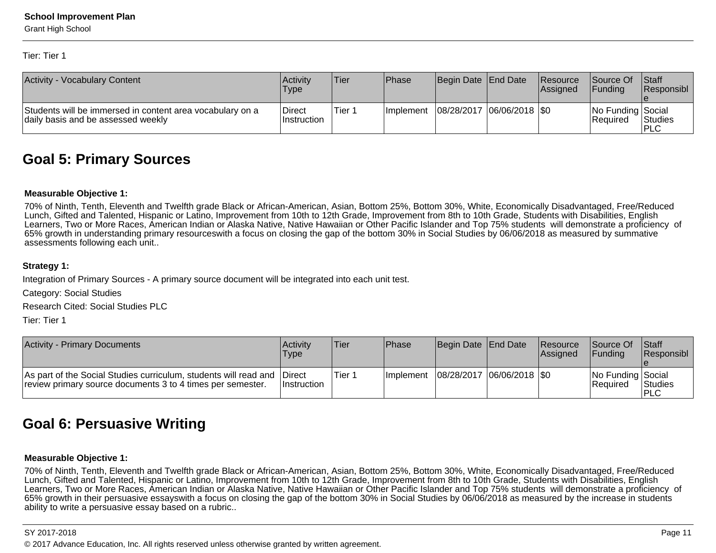Tier: Tier 1

| <b>Activity - Vocabulary Content</b>                                                            | Activity<br>'Type      | <b>Tier</b> | <b>Phase</b> | Begin Date End Date         | Resource<br>lAssianed | <b>Source Of</b><br><b>IFundina</b> | <b>Staff</b><br><b>Responsibl</b> |
|-------------------------------------------------------------------------------------------------|------------------------|-------------|--------------|-----------------------------|-----------------------|-------------------------------------|-----------------------------------|
| Students will be immersed in content area vocabulary on a<br>daily basis and be assessed weekly | Direct<br>∣Instruction | Tier 1      | Ilmplement   | 08/28/2017  06/06/2018  \$0 |                       | No Funding Social<br>l Reauired     | <b>Studies</b><br>'PLC            |

### **Goal 5: Primary Sources**

#### **Measurable Objective 1:**

70% of Ninth, Tenth, Eleventh and Twelfth grade Black or African-American, Asian, Bottom 25%, Bottom 30%, White, Economically Disadvantaged, Free/ReducedLunch, Gifted and Talented, Hispanic or Latino, Improvement from 10th to 12th Grade, Improvement from 8th to 10th Grade, Students with Disabilities, English Learners, Two or More Races, American Indian or Alaska Native, Native Hawaiian or Other Pacific Islander and Top 75% students will demonstrate a proficiency of65% growth in understanding primary resourceswith a focus on closing the gap of the bottom 30% in Social Studies by 06/06/2018 as measured by summativeassessments following each unit..

#### **Strategy 1:**

Integration of Primary Sources - A primary source document will be integrated into each unit test.

Category: Social Studies

Research Cited: Social Studies PLC

Tier: Tier 1

| <b>Activity - Primary Documents</b>                                                                                            | Activity<br>Type                     | <b>Tier</b> | Phase             | Begin Date End Date         | <b>Resource</b><br><b>Assigned</b> | <b>Source Of</b><br><b>IFunding</b> | <b>Staff</b><br><b>Responsibl</b> |
|--------------------------------------------------------------------------------------------------------------------------------|--------------------------------------|-------------|-------------------|-----------------------------|------------------------------------|-------------------------------------|-----------------------------------|
| As part of the Social Studies curriculum, students will read and<br>review primary source documents 3 to 4 times per semester. | <b>IDirect</b><br><b>Instruction</b> | Tier 1      | <b>Ilmplement</b> | 08/28/2017  06/06/2018  \$0 |                                    | No Funding Social<br>Required       | <b>Studies</b><br>IPLC            |

## **Goal 6: Persuasive Writing**

#### **Measurable Objective 1:**

70% of Ninth, Tenth, Eleventh and Twelfth grade Black or African-American, Asian, Bottom 25%, Bottom 30%, White, Economically Disadvantaged, Free/ReducedLunch, Gifted and Talented, Hispanic or Latino, Improvement from 10th to 12th Grade, Improvement from 8th to 10th Grade, Students with Disabilities, English Learners, Two or More Races, American Indian or Alaska Native, Native Hawaiian or Other Pacific Islander and Top 75% students will demonstrate a proficiency of65% growth in their persuasive essayswith a focus on closing the gap of the bottom 30% in Social Studies by 06/06/2018 as measured by the increase in studentsability to write a persuasive essay based on a rubric..

#### SY 2017-2018

en and the set of the set of the set of the set of the set of the set of the set of the set of the set of the set of the set of the set of the set of the set of the set of the set of the set of the set of the set of the se © 2017 Advance Education, Inc. All rights reserved unless otherwise granted by written agreement.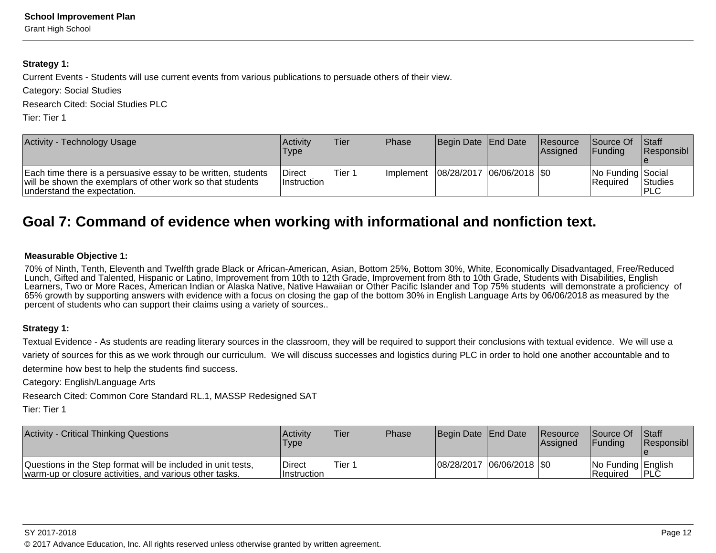#### **Strategy 1:**

Current Events - Students will use current events from various publications to persuade others of their view.

Category: Social Studies

Research Cited: Social Studies PLC

Tier: Tier 1

| Activity - Technology Usage                                                                                                                                | Activity<br>Type              | lTier   | <b>IPhase</b>     | Begin Date End Date         | <b>Resource</b><br>lAssianed | <b>Source Of</b><br><b>IFundina</b> | <b>Staff</b><br><b>Responsibl</b> |
|------------------------------------------------------------------------------------------------------------------------------------------------------------|-------------------------------|---------|-------------------|-----------------------------|------------------------------|-------------------------------------|-----------------------------------|
| Each time there is a persuasive essay to be written, students<br>will be shown the exemplars of other work so that students<br>understand the expectation. | <b>Direct</b><br>∣Instruction | 'Tier 1 | <b>Ilmplement</b> | 08/28/2017  06/06/2018  \$0 |                              | No Funding Social<br>l Reauired     | <b>Studies</b><br>IPLC            |

## **Goal 7: Command of evidence when working with informational and nonfiction text.**

#### **Measurable Objective 1:**

70% of Ninth, Tenth, Eleventh and Twelfth grade Black or African-American, Asian, Bottom 25%, Bottom 30%, White, Economically Disadvantaged, Free/ReducedLunch, Gifted and Talented, Hispanic or Latino, Improvement from 10th to 12th Grade, Improvement from 8th to 10th Grade, Students with Disabilities, English Learners, Two or More Races, American Indian or Alaska Native, Native Hawaiian or Other Pacific Islander and Top 75% students will demonstrate a proficiency of65% growth by supporting answers with evidence with a focus on closing the gap of the bottom 30% in English Language Arts by 06/06/2018 as measured by thepercent of students who can support their claims using a variety of sources..

#### **Strategy 1:**

Textual Evidence - As students are reading literary sources in the classroom, they will be required to support their conclusions with textual evidence. We will use a variety of sources for this as we work through our curriculum. We will discuss successes and logistics during PLC in order to hold one another accountable and todetermine how best to help the students find success.

Category: English/Language Arts

Research Cited: Common Core Standard RL.1, MASSP Redesigned SAT

Tier: Tier 1

| <b>Activity - Critical Thinking Questions</b>                                                                           | Activity<br>Type         | 'Tier  | <b>Phase</b> | Begin Date End Date |                   | <b>Resource</b><br><b>Assigned</b> | <b>Source Of</b><br><b>IFundina</b>   | <b>Staff</b><br><b>Responsibl</b> |
|-------------------------------------------------------------------------------------------------------------------------|--------------------------|--------|--------------|---------------------|-------------------|------------------------------------|---------------------------------------|-----------------------------------|
| Questions in the Step format will be included in unit tests,<br>warm-up or closure activities, and various other tasks. | l Direct<br>∣Instruction | Tier 1 |              | 08/28/2017          | / 06/06/2018  \$0 |                                    | No Funding English<br><b>Required</b> | <b>IPLC</b>                       |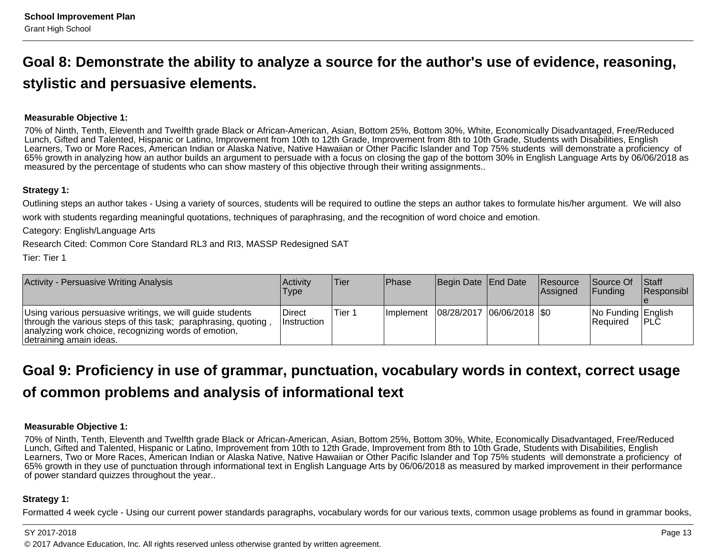# **Goal 8: Demonstrate the ability to analyze a source for the author's use of evidence, reasoning,stylistic and persuasive elements.**

#### **Measurable Objective 1:**

70% of Ninth, Tenth, Eleventh and Twelfth grade Black or African-American, Asian, Bottom 25%, Bottom 30%, White, Economically Disadvantaged, Free/ReducedLunch, Gifted and Talented, Hispanic or Latino, Improvement from 10th to 12th Grade, Improvement from 8th to 10th Grade, Students with Disabilities, English Learners, Two or More Races, American Indian or Alaska Native, Native Hawaiian or Other Pacific Islander and Top 75% students will demonstrate a proficiency of 65% growth in analyzing how an author builds an argument to persuade with a focus on closing the gap of the bottom 30% in English Language Arts by 06/06/2018 asmeasured by the percentage of students who can show mastery of this objective through their writing assignments..

#### **Strategy 1:**

Outlining steps an author takes - Using a variety of sources, students will be required to outline the steps an author takes to formulate his/her argument. We will alsowork with students regarding meaningful quotations, techniques of paraphrasing, and the recognition of word choice and emotion.

Category: English/Language Arts

Research Cited: Common Core Standard RL3 and RI3, MASSP Redesigned SAT

Tier: Tier 1

| <b>Activity - Persuasive Writing Analysis</b>                                                                                                                                                                   | Activitv<br>Type             | Tier   | Phase             | Begin Date End Date         | <b>Resource</b><br><b>Assigned</b> | <b>Source Of</b><br>IFundina    | <b>Staff</b><br> Responsibl |
|-----------------------------------------------------------------------------------------------------------------------------------------------------------------------------------------------------------------|------------------------------|--------|-------------------|-----------------------------|------------------------------------|---------------------------------|-----------------------------|
| Using various persuasive writings, we will guide students<br>through the various steps of this task; paraphrasing, quoting,<br>analyzing work choice, recognizing words of emotion,<br>Idetraining amain ideas. | Direct<br><b>Instruction</b> | Tier 1 | <b>Ilmplement</b> | 08/28/2017  06/06/2018  \$0 |                                    | No Funding English<br>IReauired | PLC                         |

# **Goal 9: Proficiency in use of grammar, punctuation, vocabulary words in context, correct usageof common problems and analysis of informational text**

#### **Measurable Objective 1:**

70% of Ninth, Tenth, Eleventh and Twelfth grade Black or African-American, Asian, Bottom 25%, Bottom 30%, White, Economically Disadvantaged, Free/ReducedLunch, Gifted and Talented, Hispanic or Latino, Improvement from 10th to 12th Grade, Improvement from 8th to 10th Grade, Students with Disabilities, English Learners, Two or More Races, American Indian or Alaska Native, Native Hawaiian or Other Pacific Islander and Top 75% students will demonstrate a proficiency of 65% growth in they use of punctuation through informational text in English Language Arts by 06/06/2018 as measured by marked improvement in their performanceof power standard quizzes throughout the year..

#### **Strategy 1:**

Formatted 4 week cycle - Using our current power standards paragraphs, vocabulary words for our various texts, common usage problems as found in grammar books,

#### SY 2017-2018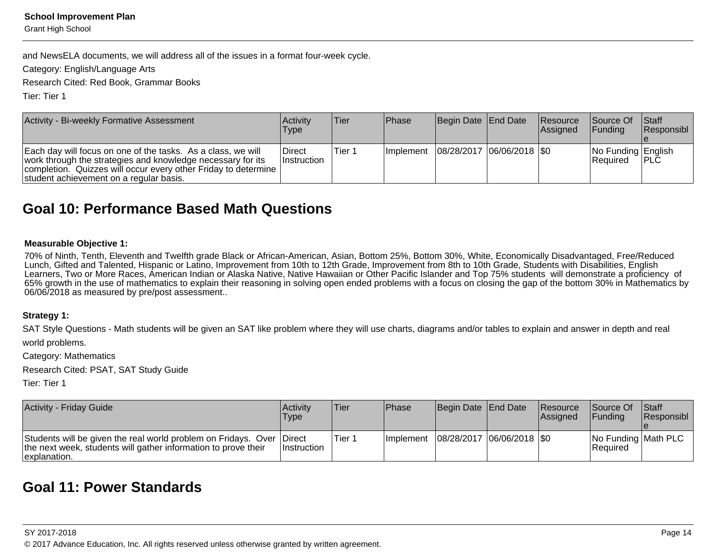Grant High School

and NewsELA documents, we will address all of the issues in a format four-week cycle.

Category: English/Language Arts

Research Cited: Red Book, Grammar Books

Tier: Tier 1

| Activity - Bi-weekly Formative Assessment                                                                                                                                                                                                | Activity<br>Type              | Tier    | <b>Phase</b>                              | Begin Date End Date | Resource<br>Assigned | Source Of<br><b>IFunding</b>          | <b>Staff</b><br>Responsibl |
|------------------------------------------------------------------------------------------------------------------------------------------------------------------------------------------------------------------------------------------|-------------------------------|---------|-------------------------------------------|---------------------|----------------------|---------------------------------------|----------------------------|
| Each day will focus on one of the tasks. As a class, we will<br>work through the strategies and knowledge necessary for its<br>completion. Quizzes will occur every other Friday to determine<br>student achievement on a regular basis. | ∣Direct<br><b>Instruction</b> | lTier 1 | Implement   08/28/2017   06/06/2018   \$0 |                     |                      | No Funding English<br><b>Required</b> | <b>IPLC</b>                |

### **Goal 10: Performance Based Math Questions**

#### **Measurable Objective 1:**

70% of Ninth, Tenth, Eleventh and Twelfth grade Black or African-American, Asian, Bottom 25%, Bottom 30%, White, Economically Disadvantaged, Free/Reduced<br>Lunch, Gifted and Talented, Hispanic or Latino, Improvement from 10t Learners, Two or More Races, American Indian or Alaska Native, Native Hawaiian or Other Pacific Islander and Top 75% students will demonstrate a proficiency of 65% growth in the use of mathematics to explain their reasoning in solving open ended problems with a focus on closing the gap of the bottom 30% in Mathematics by06/06/2018 as measured by pre/post assessment..

#### **Strategy 1:**

SAT Style Questions - Math students will be given an SAT like problem where they will use charts, diagrams and/or tables to explain and answer in depth and real world problems.

Category: Mathematics

Research Cited: PSAT, SAT Study Guide

Tier: Tier 1

| <b>Activity - Friday Guide</b>                                                                                                                          | Activity<br>Type   | 'Tier  | Phase             | Begin Date End Date         | Resource<br><b>Assigned</b> | <b>Source Of</b><br><b>IFunding</b> | <b>Staff</b><br><b>Responsibl</b> |
|---------------------------------------------------------------------------------------------------------------------------------------------------------|--------------------|--------|-------------------|-----------------------------|-----------------------------|-------------------------------------|-----------------------------------|
| Students will be given the real world problem on Fridays. Over Direct<br>the next week, students will gather information to prove their<br>explanation. | <b>Instruction</b> | Tier 1 | <b>Ilmplement</b> | 08/28/2017  06/06/2018  \$0 |                             | No Funding Math PLC<br>IReauired    |                                   |

### **Goal 11: Power Standards**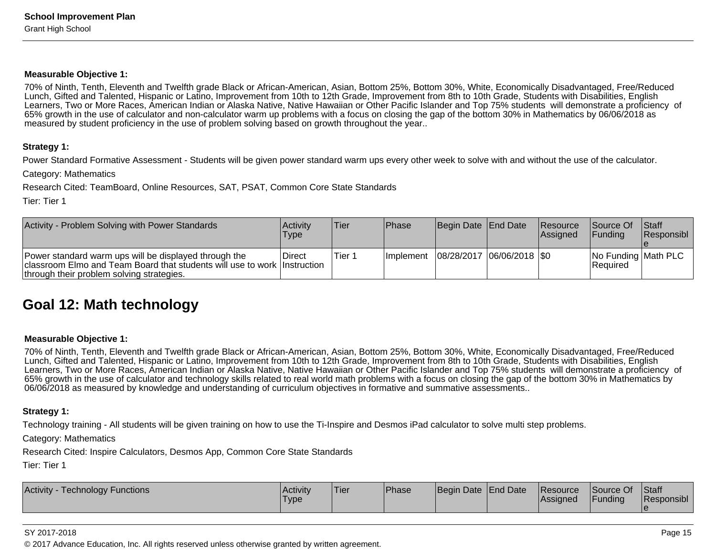#### **Measurable Objective 1:**

70% of Ninth, Tenth, Eleventh and Twelfth grade Black or African-American, Asian, Bottom 25%, Bottom 30%, White, Economically Disadvantaged, Free/ReducedLunch, Gifted and Talented, Hispanic or Latino, Improvement from 10th to 12th Grade, Improvement from 8th to 10th Grade, Students with Disabilities, English Learners, Two or More Races, American Indian or Alaska Native, Native Hawaiian or Other Pacific Islander and Top 75% students will demonstrate a proficiency of65% growth in the use of calculator and non-calculator warm up problems with a focus on closing the gap of the bottom 30% in Mathematics by 06/06/2018 asmeasured by student proficiency in the use of problem solving based on growth throughout the year..

#### **Strategy 1:**

Power Standard Formative Assessment - Students will be given power standard warm ups every other week to solve with and without the use of the calculator.

Category: Mathematics

Research Cited: TeamBoard, Online Resources, SAT, PSAT, Common Core State Standards

Tier: Tier 1

| Activity - Problem Solving with Power Standards                                                                                                                                | Activity<br>Type | 'Tier   | <b>Phase</b>      | Begin Date   End Date       | Resource<br><b>Assigned</b> | <b>Source Of</b><br><b>IFunding</b> | <b>Staff</b><br>Responsibl |
|--------------------------------------------------------------------------------------------------------------------------------------------------------------------------------|------------------|---------|-------------------|-----------------------------|-----------------------------|-------------------------------------|----------------------------|
| Power standard warm ups will be displayed through the<br>classroom Elmo and Team Board that students will use to work Instruction<br>through their problem solving strategies. | ∣Direct          | 'Tier 1 | <b>Ilmplement</b> | 08/28/2017  06/06/2018  \$0 |                             | No Funding Math PLC<br>Required     |                            |

### **Goal 12: Math technology**

#### **Measurable Objective 1:**

70% of Ninth, Tenth, Eleventh and Twelfth grade Black or African-American, Asian, Bottom 25%, Bottom 30%, White, Economically Disadvantaged, Free/ReducedLunch, Gifted and Talented, Hispanic or Latino, Improvement from 10th to 12th Grade, Improvement from 8th to 10th Grade, Students with Disabilities, English Learners, Two or More Races, American Indian or Alaska Native, Native Hawaiian or Other Pacific Islander and Top 75% students will demonstrate a proficiency of65% growth in the use of calculator and technology skills related to real world math problems with a focus on closing the gap of the bottom 30% in Mathematics by06/06/2018 as measured by knowledge and understanding of curriculum objectives in formative and summative assessments..

#### **Strategy 1:**

Technology training - All students will be given training on how to use the Ti-Inspire and Desmos iPad calculator to solve multi step problems.

Category: Mathematics

Research Cited: Inspire Calculators, Desmos App, Common Core State Standards

Tier: Tier 1

| Activity<br>Technology Functions | Activity<br>'Type | <b>Tier</b> | <b>Phase</b> | Begin Date End Date |  | Resource<br>Assigned | <b>Source Of</b><br><b>Funding</b> | Staff<br><b>Responsibl</b> |
|----------------------------------|-------------------|-------------|--------------|---------------------|--|----------------------|------------------------------------|----------------------------|
|----------------------------------|-------------------|-------------|--------------|---------------------|--|----------------------|------------------------------------|----------------------------|

#### SY 2017-2018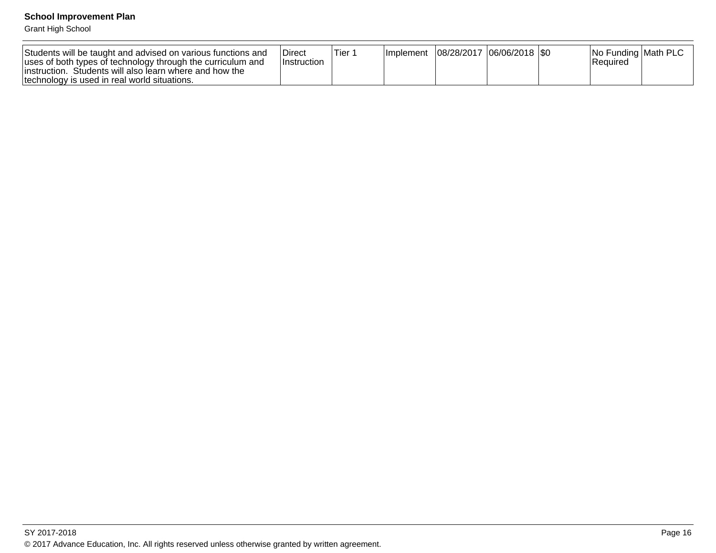Grant High School

| Students will be taught and advised on various functions and<br>uses of both types of technology through the curriculum and<br>linstruction. Students will also learn where and how the<br>technology is used in real world situations. | <b>Direct</b><br>⊺Instruction | ้ Tier ำ | <b>Ilmplement</b> | 08/28/2017  06/06/2018  \$0 |  | <b>No Funding Math PLC</b><br>Reauired |  |
|-----------------------------------------------------------------------------------------------------------------------------------------------------------------------------------------------------------------------------------------|-------------------------------|----------|-------------------|-----------------------------|--|----------------------------------------|--|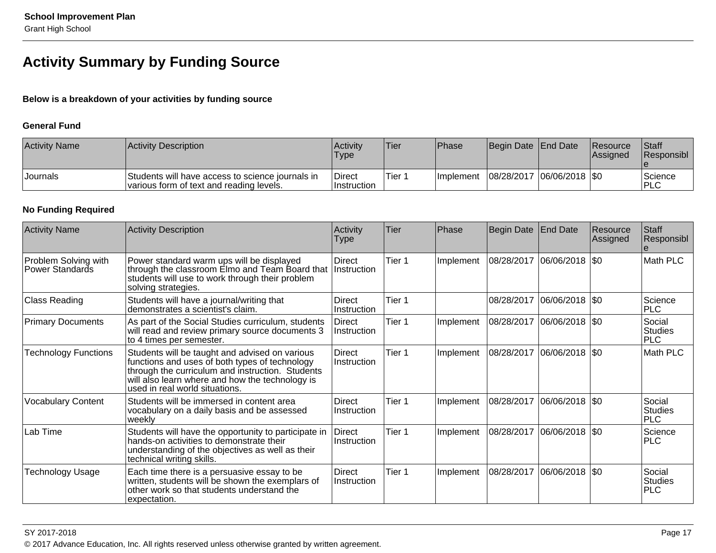## **Activity Summary by Funding Source**

### **Below is a breakdown of your activities by funding source**

#### **General Fund**

| <b>Activity Name</b> | Activity Description                                                                         | <b>Activity</b><br>Type             | 'Tier  | <b>IPhase</b>     | Begin Date End Date |                             | <b>Resource</b><br><b>Assigned</b> | <b>Staff</b><br><b>Responsibl</b> |
|----------------------|----------------------------------------------------------------------------------------------|-------------------------------------|--------|-------------------|---------------------|-----------------------------|------------------------------------|-----------------------------------|
| <b>Journals</b>      | Students will have access to science journals in<br>various form of text and reading levels. | <b>Direct</b><br><b>Instruction</b> | Tier 1 | <b>Ilmplement</b> |                     | 08/28/2017  06/06/2018  \$0 |                                    | Science<br><b>IPLC</b>            |

### **No Funding Required**

| <b>Activity Name</b>                    | <b>Activity Description</b>                                                                                                                                                                                                               | Activity<br><b>Type</b>      | Tier   | Phase     | Begin Date | <b>End Date</b>             | Resource<br>Assigned | <b>Staff</b><br>Responsibl             |
|-----------------------------------------|-------------------------------------------------------------------------------------------------------------------------------------------------------------------------------------------------------------------------------------------|------------------------------|--------|-----------|------------|-----------------------------|----------------------|----------------------------------------|
| Problem Solving with<br>Power Standards | Power standard warm ups will be displayed<br>through the classroom Elmo and Team Board that<br>students will use to work through their problem<br>solving strategies.                                                                     | Direct<br>Instruction        | Tier 1 | Implement | 08/28/2017 | 06/06/2018 \$0              |                      | Math PLC                               |
| Class Reading                           | Students will have a journal/writing that<br>demonstrates a scientist's claim.                                                                                                                                                            | Direct<br>Instruction        | Tier 1 |           |            | 08/28/2017 06/06/2018 \$0   |                      | Science<br><b>PLC</b>                  |
| <b>Primary Documents</b>                | As part of the Social Studies curriculum, students<br>will read and review primary source documents 3<br>to 4 times per semester.                                                                                                         | Direct<br>Instruction        | Tier 1 | Implement | 08/28/2017 | $ 06/06/2018 $ \$0          |                      | Social<br><b>Studies</b><br><b>PLC</b> |
| <b>Technology Functions</b>             | Students will be taught and advised on various<br>functions and uses of both types of technology<br>through the curriculum and instruction. Students<br>will also learn where and how the technology is<br>used in real world situations. | <b>Direct</b><br>Instruction | Tier 1 | Implement | 08/28/2017 | $ 06/06/2018 $ \$0          |                      | Math PLC                               |
| <b>Vocabulary Content</b>               | Students will be immersed in content area<br>vocabulary on a daily basis and be assessed<br>weekly                                                                                                                                        | Direct<br>Instruction        | Tier 1 | Implement |            | 08/28/2017 06/06/2018   \$0 |                      | Social<br><b>Studies</b><br><b>PLC</b> |
| Lab Time                                | Students will have the opportunity to participate in<br>hands-on activities to demonstrate their<br>understanding of the objectives as well as their<br>technical writing skills.                                                         | Direct<br>Instruction        | Tier 1 | Implement | 08/28/2017 | $ 06/06/2018 $ \$0          |                      | Science<br><b>PLC</b>                  |
| <b>Technology Usage</b>                 | Each time there is a persuasive essay to be<br>written, students will be shown the exemplars of<br>other work so that students understand the<br>expectation.                                                                             | Direct<br>Instruction        | Tier 1 | Implement | 08/28/2017 | 06/06/2018 \\$0             |                      | Social<br><b>Studies</b><br><b>PLC</b> |